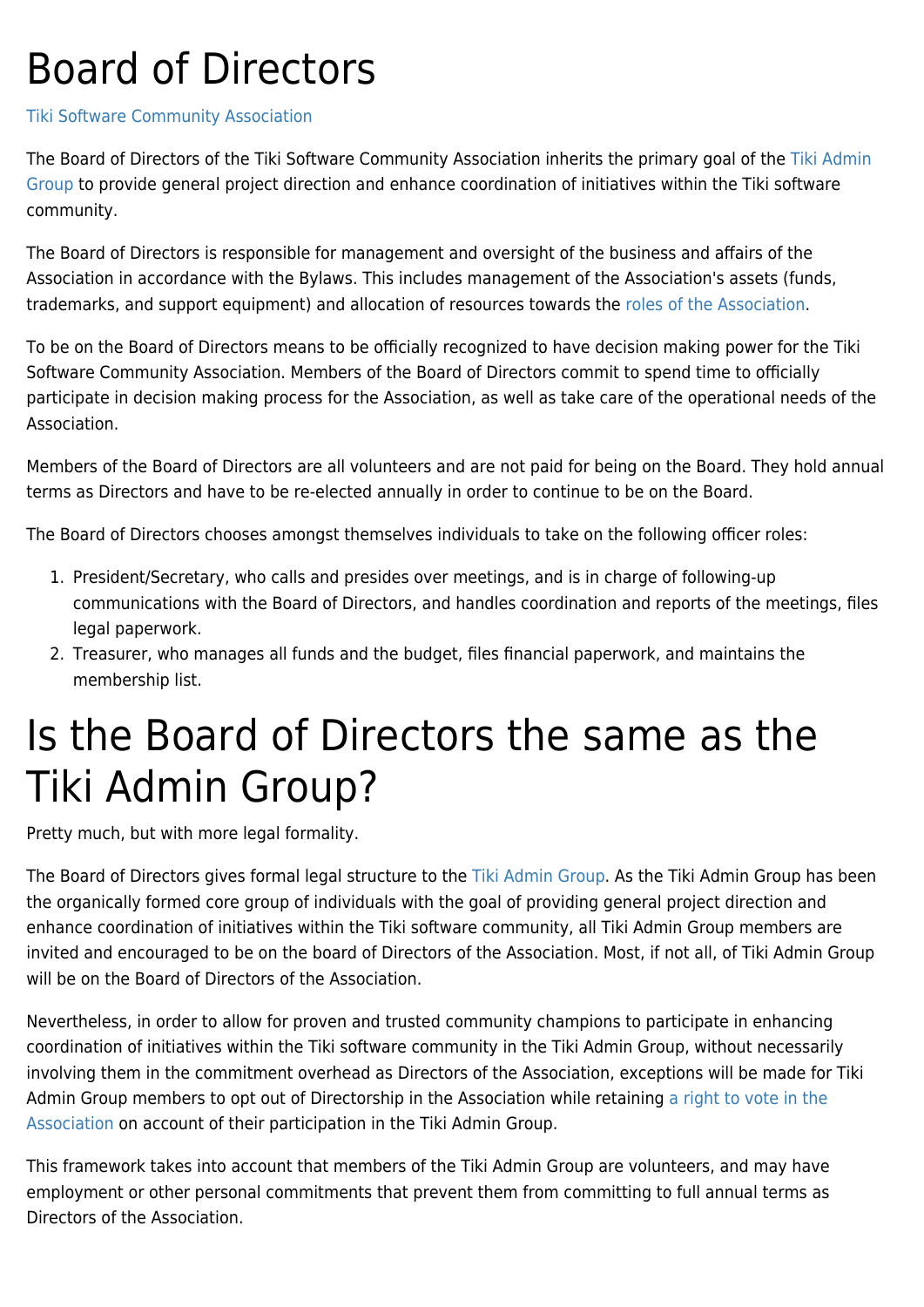## Board of Directors

## [Tiki Software Community Association](https://tiki.org/Tiki-Software-Community-Association)

The Board of Directors of the Tiki Software Community Association inherits the primary goal of the [Tiki Admin](https://tiki.org/WhoWhat#Project_Administrators) [Group](https://tiki.org/WhoWhat#Project_Administrators) to provide general project direction and enhance coordination of initiatives within the Tiki software community.

The Board of Directors is responsible for management and oversight of the business and affairs of the Association in accordance with the Bylaws. This includes management of the Association's assets (funds, trademarks, and support equipment) and allocation of resources towards the [roles of the Association.](https://tiki.org/Role-of-Tiki-Software-Community-Association)

To be on the Board of Directors means to be officially recognized to have decision making power for the Tiki Software Community Association. Members of the Board of Directors commit to spend time to officially participate in decision making process for the Association, as well as take care of the operational needs of the Association.

Members of the Board of Directors are all volunteers and are not paid for being on the Board. They hold annual terms as Directors and have to be re-elected annually in order to continue to be on the Board.

The Board of Directors chooses amongst themselves individuals to take on the following officer roles:

- 1. President/Secretary, who calls and presides over meetings, and is in charge of following-up communications with the Board of Directors, and handles coordination and reports of the meetings, files legal paperwork.
- 2. Treasurer, who manages all funds and the budget, files financial paperwork, and maintains the membership list.

## Is the Board of Directors the same as the Tiki Admin Group?

Pretty much, but with more legal formality.

The Board of Directors gives formal legal structure to the [Tiki Admin Group.](https://tiki.org/WhoWhat#Project_Administrators) As the Tiki Admin Group has been the organically formed core group of individuals with the goal of providing general project direction and enhance coordination of initiatives within the Tiki software community, all Tiki Admin Group members are invited and encouraged to be on the board of Directors of the Association. Most, if not all, of Tiki Admin Group will be on the Board of Directors of the Association.

Nevertheless, in order to allow for proven and trusted community champions to participate in enhancing coordination of initiatives within the Tiki software community in the Tiki Admin Group, without necessarily involving them in the commitment overhead as Directors of the Association, exceptions will be made for Tiki Admin Group members to opt out of Directorship in the Association while retaining [a right to vote in the](https://tiki.org/Role-of-Tiki-Software-Community-Association#Membership) [Association](https://tiki.org/Role-of-Tiki-Software-Community-Association#Membership) on account of their participation in the Tiki Admin Group.

This framework takes into account that members of the Tiki Admin Group are volunteers, and may have employment or other personal commitments that prevent them from committing to full annual terms as Directors of the Association.